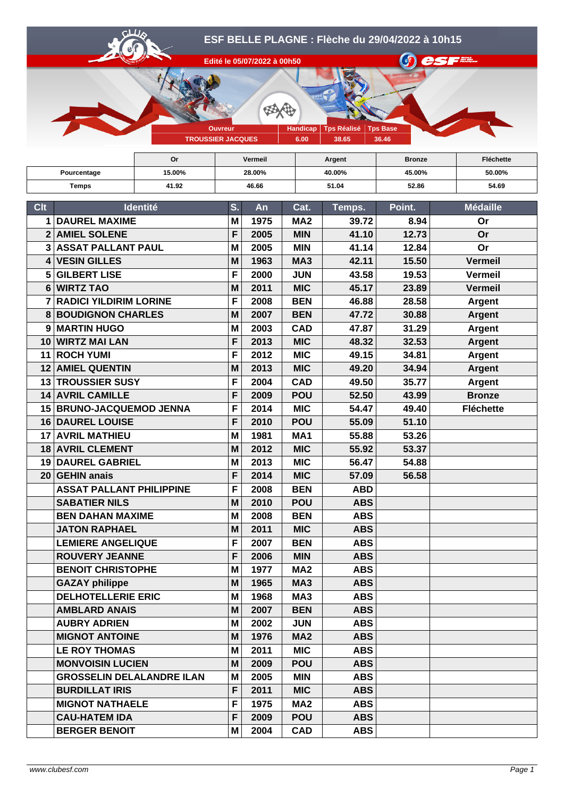

|                       |                                             | Or              |        | <b>Vermeil</b> |                 | Argent | <b>Bronze</b> | Fléchette        |
|-----------------------|---------------------------------------------|-----------------|--------|----------------|-----------------|--------|---------------|------------------|
| Pourcentage           |                                             | 15.00%          | 28.00% |                |                 | 40.00% | 45.00%        | 50.00%           |
| 41.92<br><b>Temps</b> |                                             | 46.66           |        |                | 51.04           | 52.86  | 54.69         |                  |
|                       |                                             |                 |        |                |                 |        |               |                  |
| <b>Clt</b>            |                                             | <b>Identité</b> | S.     | An             | Cat.            | Temps. | Point.        | <b>Médaille</b>  |
| 1                     | <b>DAUREL MAXIME</b>                        |                 | M      | 1975           | MA <sub>2</sub> | 39.72  | 8.94          | Or               |
| $\overline{2}$        | <b>AMIEL SOLENE</b>                         |                 | F      | 2005           | <b>MIN</b>      | 41.10  | 12.73         | Or               |
|                       | <b>ASSAT PALLANT PAUL</b><br>3 <sup>1</sup> |                 | M      | 2005           | <b>MIN</b>      | 41.14  | 12.84         | <b>Or</b>        |
| $\mathbf{4}$          | <b>VESIN GILLES</b>                         |                 | M      | 1963           | MA <sub>3</sub> | 42.11  | 15.50         | <b>Vermeil</b>   |
| 5                     | <b>GILBERT LISE</b>                         |                 | F      | 2000           | <b>JUN</b>      | 43.58  | 19.53         | <b>Vermeil</b>   |
| 6                     | <b>WIRTZ TAO</b>                            |                 | M      | 2011           | <b>MIC</b>      | 45.17  | 23.89         | <b>Vermeil</b>   |
|                       | <b>RADICI YILDIRIM LORINE</b>               |                 | F      | 2008           | <b>BEN</b>      | 46.88  | 28.58         | <b>Argent</b>    |
| 8                     | <b>BOUDIGNON CHARLES</b>                    |                 | M      | 2007           | <b>BEN</b>      | 47.72  | 30.88         | <b>Argent</b>    |
| 9                     | <b>MARTIN HUGO</b>                          |                 | M      | 2003           | <b>CAD</b>      | 47.87  | 31.29         | <b>Argent</b>    |
| 10                    | <b>WIRTZ MAI LAN</b>                        |                 | F      | 2013           | <b>MIC</b>      | 48.32  | 32.53         | <b>Argent</b>    |
| 11                    | <b>ROCH YUMI</b>                            |                 | F      | 2012           | <b>MIC</b>      | 49.15  | 34.81         | <b>Argent</b>    |
| $12 \,$               | <b>AMIEL QUENTIN</b>                        |                 | M      | 2013           | <b>MIC</b>      | 49.20  | 34.94         | <b>Argent</b>    |
| 13 <sub>l</sub>       | <b>TROUSSIER SUSY</b>                       |                 | F      | 2004           | <b>CAD</b>      | 49.50  | 35.77         | <b>Argent</b>    |
| 14                    | <b>AVRIL CAMILLE</b>                        |                 | F      | 2009           | <b>POU</b>      | 52.50  | 43.99         | <b>Bronze</b>    |
| 15                    | <b>BRUNO-JACQUEMOD JENNA</b>                |                 | F      | 2014           | <b>MIC</b>      | 54.47  | 49.40         | <b>Fléchette</b> |
|                       | <b>16 DAUREL LOUISE</b>                     |                 | F      | 2010           | <b>POU</b>      | 55.09  | 51.10         |                  |

| 12 AMIEL QUENTIN                 | M | 2013 | <b>MIC</b>      | 49.20      | 34.94 | Argent           |
|----------------------------------|---|------|-----------------|------------|-------|------------------|
| 13 TROUSSIER SUSY                | F | 2004 | <b>CAD</b>      | 49.50      | 35.77 | <b>Argent</b>    |
| <b>14 AVRIL CAMILLE</b>          | F | 2009 | <b>POU</b>      | 52.50      | 43.99 | <b>Bronze</b>    |
| 15 BRUNO-JACQUEMOD JENNA         | F | 2014 | <b>MIC</b>      | 54.47      | 49.40 | <b>Fléchette</b> |
| 16 DAUREL LOUISE                 | F | 2010 | <b>POU</b>      | 55.09      | 51.10 |                  |
| <b>17 AVRIL MATHIEU</b>          | M | 1981 | MA <sub>1</sub> | 55.88      | 53.26 |                  |
| 18 AVRIL CLEMENT                 | M | 2012 | <b>MIC</b>      | 55.92      | 53.37 |                  |
| 19 DAUREL GABRIEL                | M | 2013 | <b>MIC</b>      | 56.47      | 54.88 |                  |
| 20 GEHIN anais                   | F | 2014 | <b>MIC</b>      | 57.09      | 56.58 |                  |
| <b>ASSAT PALLANT PHILIPPINE</b>  | F | 2008 | <b>BEN</b>      | <b>ABD</b> |       |                  |
| <b>SABATIER NILS</b>             | M | 2010 | <b>POU</b>      | <b>ABS</b> |       |                  |
| <b>BEN DAHAN MAXIME</b>          | M | 2008 | <b>BEN</b>      | <b>ABS</b> |       |                  |
| <b>JATON RAPHAEL</b>             | M | 2011 | <b>MIC</b>      | <b>ABS</b> |       |                  |
| <b>LEMIERE ANGELIQUE</b>         | F | 2007 | <b>BEN</b>      | <b>ABS</b> |       |                  |
| <b>ROUVERY JEANNE</b>            | F | 2006 | <b>MIN</b>      | <b>ABS</b> |       |                  |
| <b>BENOIT CHRISTOPHE</b>         | M | 1977 | MA <sub>2</sub> | <b>ABS</b> |       |                  |
| <b>GAZAY philippe</b>            | M | 1965 | MA <sub>3</sub> | <b>ABS</b> |       |                  |
| <b>DELHOTELLERIE ERIC</b>        | M | 1968 | MA <sub>3</sub> | <b>ABS</b> |       |                  |
| <b>AMBLARD ANAIS</b>             | M | 2007 | <b>BEN</b>      | <b>ABS</b> |       |                  |
| <b>AUBRY ADRIEN</b>              | M | 2002 | <b>JUN</b>      | <b>ABS</b> |       |                  |
| <b>MIGNOT ANTOINE</b>            | M | 1976 | <b>MA2</b>      | <b>ABS</b> |       |                  |
| <b>LE ROY THOMAS</b>             | M | 2011 | <b>MIC</b>      | <b>ABS</b> |       |                  |
| <b>MONVOISIN LUCIEN</b>          | M | 2009 | <b>POU</b>      | <b>ABS</b> |       |                  |
| <b>GROSSELIN DELALANDRE ILAN</b> | M | 2005 | <b>MIN</b>      | <b>ABS</b> |       |                  |
| <b>BURDILLAT IRIS</b>            | F | 2011 | <b>MIC</b>      | <b>ABS</b> |       |                  |
| <b>MIGNOT NATHAELE</b>           | F | 1975 | MA <sub>2</sub> | <b>ABS</b> |       |                  |
| <b>CAU-HATEM IDA</b>             | F | 2009 | <b>POU</b>      | <b>ABS</b> |       |                  |
| <b>BERGER BENOIT</b>             | м | 2004 | <b>CAD</b>      | <b>ABS</b> |       |                  |